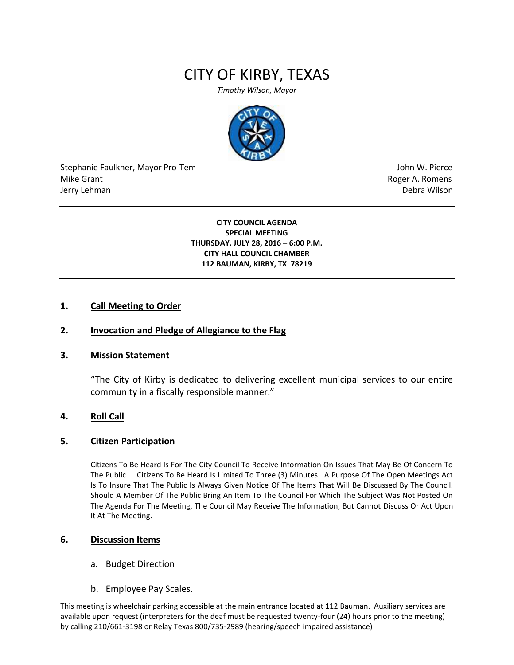# CITY OF KIRBY, TEXAS

*Timothy Wilson, Mayor*



Stephanie Faulkner, Mayor Pro-Tem John W. Pierce Mike Grant **Mike Grant** Roger A. Romens **Contract A. Romens Roger A. Romens** Jerry Lehman Debra Wilson (2008) and the state of the state of the state of the state of the state of the state of the state of the state of the state of the state of the state of the state of the state of the state of the

**CITY COUNCIL AGENDA SPECIAL MEETING THURSDAY, JULY 28, 2016 – 6:00 P.M. CITY HALL COUNCIL CHAMBER 112 BAUMAN, KIRBY, TX 78219**

### **1. Call Meeting to Order**

### **2. Invocation and Pledge of Allegiance to the Flag**

#### **3. Mission Statement**

"The City of Kirby is dedicated to delivering excellent municipal services to our entire community in a fiscally responsible manner."

#### **4. Roll Call**

#### **5. Citizen Participation**

Citizens To Be Heard Is For The City Council To Receive Information On Issues That May Be Of Concern To The Public. Citizens To Be Heard Is Limited To Three (3) Minutes. A Purpose Of The Open Meetings Act Is To Insure That The Public Is Always Given Notice Of The Items That Will Be Discussed By The Council. Should A Member Of The Public Bring An Item To The Council For Which The Subject Was Not Posted On The Agenda For The Meeting, The Council May Receive The Information, But Cannot Discuss Or Act Upon It At The Meeting.

#### **6. Discussion Items**

- a. Budget Direction
- b. Employee Pay Scales.

This meeting is wheelchair parking accessible at the main entrance located at 112 Bauman. Auxiliary services are available upon request (interpreters for the deaf must be requested twenty-four (24) hours prior to the meeting) by calling 210/661-3198 or Relay Texas 800/735-2989 (hearing/speech impaired assistance)